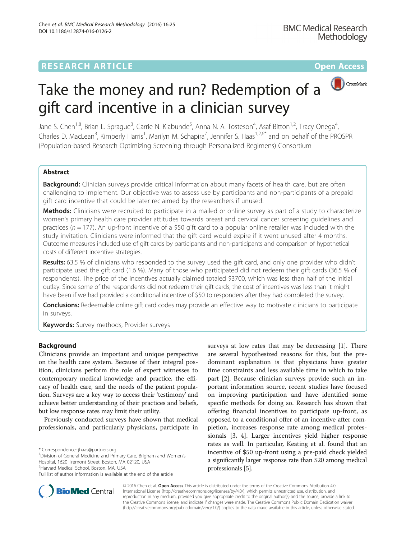## **RESEARCH ARTICLE Example 2014 12:30 The Contract of Contract ACCESS**



# Take the money and run? Redemption of a gift card incentive in a clinician survey

Jane S. Chen<sup>1,8</sup>, Brian L. Sprague<sup>3</sup>, Carrie N. Klabunde<sup>5</sup>, Anna N. A. Tosteson<sup>4</sup>, Asaf Bitton<sup>1,2</sup>, Tracy Onega<sup>4</sup> , Charles D. MacLean<sup>3</sup>, Kimberly Harris<sup>1</sup>, Marilyn M. Schapira<sup>7</sup>, Jennifer S. Haas<sup>1,2,6\*</sup> and on behalf of the PROSPR (Population-based Research Optimizing Screening through Personalized Regimens) Consortium

## Abstract

**Background:** Clinician surveys provide critical information about many facets of health care, but are often challenging to implement. Our objective was to assess use by participants and non-participants of a prepaid gift card incentive that could be later reclaimed by the researchers if unused.

Methods: Clinicians were recruited to participate in a mailed or online survey as part of a study to characterize women's primary health care provider attitudes towards breast and cervical cancer screening guidelines and practices ( $n = 177$ ). An up-front incentive of a \$50 gift card to a popular online retailer was included with the study invitation. Clinicians were informed that the gift card would expire if it went unused after 4 months. Outcome measures included use of gift cards by participants and non-participants and comparison of hypothetical costs of different incentive strategies.

Results: 63.5 % of clinicians who responded to the survey used the gift card, and only one provider who didn't participate used the gift card (1.6 %). Many of those who participated did not redeem their gift cards (36.5 % of respondents). The price of the incentives actually claimed totaled \$3700, which was less than half of the initial outlay. Since some of the respondents did not redeem their gift cards, the cost of incentives was less than it might have been if we had provided a conditional incentive of \$50 to responders after they had completed the survey.

**Conclusions:** Redeemable online gift card codes may provide an effective way to motivate clinicians to participate in surveys.

**Keywords:** Survey methods, Provider surveys

## Background

Clinicians provide an important and unique perspective on the health care system. Because of their integral position, clinicians perform the role of expert witnesses to contemporary medical knowledge and practice, the efficacy of health care, and the needs of the patient population. Surveys are a key way to access their 'testimony' and achieve better understanding of their practices and beliefs, but low response rates may limit their utility.

Previously conducted surveys have shown that medical professionals, and particularly physicians, participate in

\* Correspondence: [jhaas@partners.org](mailto:jhaas@partners.org) <sup>1</sup>

<sup>1</sup> Division of General Medicine and Primary Care, Brigham and Women's Hospital, 1620 Tremont Street, Boston, MA 02120, USA

<sup>2</sup>Harvard Medical School, Boston, MA, USA

surveys at low rates that may be decreasing [[1\]](#page-3-0). There are several hypothesized reasons for this, but the predominant explanation is that physicians have greater time constraints and less available time in which to take part [[2](#page-3-0)]. Because clinician surveys provide such an important information source, recent studies have focused on improving participation and have identified some specific methods for doing so. Research has shown that offering financial incentives to participate up-front, as opposed to a conditional offer of an incentive after completion, increases response rate among medical professionals [[3, 4](#page-3-0)]. Larger incentives yield higher response rates as well. In particular, Keating et al. found that an incentive of \$50 up-front using a pre-paid check yielded a significantly larger response rate than \$20 among medical professionals [[5](#page-3-0)].



© 2016 Chen et al. Open Access This article is distributed under the terms of the Creative Commons Attribution 4.0 International License [\(http://creativecommons.org/licenses/by/4.0/](http://creativecommons.org/licenses/by/4.0/)), which permits unrestricted use, distribution, and reproduction in any medium, provided you give appropriate credit to the original author(s) and the source, provide a link to the Creative Commons license, and indicate if changes were made. The Creative Commons Public Domain Dedication waiver [\(http://creativecommons.org/publicdomain/zero/1.0/](http://creativecommons.org/publicdomain/zero/1.0/)) applies to the data made available in this article, unless otherwise stated.

Full list of author information is available at the end of the article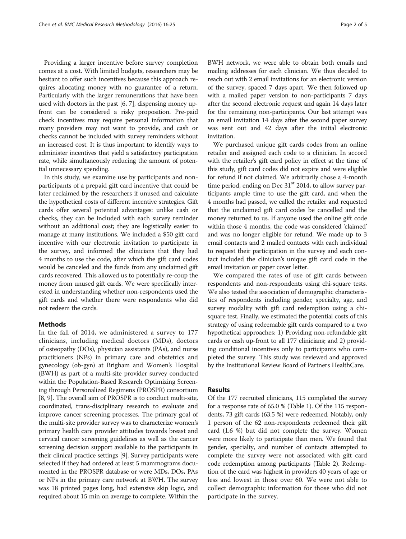Providing a larger incentive before survey completion comes at a cost. With limited budgets, researchers may be hesitant to offer such incentives because this approach requires allocating money with no guarantee of a return. Particularly with the larger remunerations that have been used with doctors in the past [\[6](#page-3-0), [7\]](#page-3-0), dispensing money upfront can be considered a risky proposition. Pre-paid check incentives may require personal information that many providers may not want to provide, and cash or checks cannot be included with survey reminders without an increased cost. It is thus important to identify ways to administer incentives that yield a satisfactory participation rate, while simultaneously reducing the amount of potential unnecessary spending.

In this study, we examine use by participants and nonparticipants of a prepaid gift card incentive that could be later reclaimed by the researchers if unused and calculate the hypothetical costs of different incentive strategies. Gift cards offer several potential advantages: unlike cash or checks, they can be included with each survey reminder without an additional cost; they are logistically easier to manage at many institutions. We included a \$50 gift card incentive with our electronic invitation to participate in the survey, and informed the clinicians that they had 4 months to use the code, after which the gift card codes would be canceled and the funds from any unclaimed gift cards recovered. This allowed us to potentially re-coup the money from unused gift cards. We were specifically interested in understanding whether non-respondents used the gift cards and whether there were respondents who did not redeem the cards.

## Methods

In the fall of 2014, we administered a survey to 177 clinicians, including medical doctors (MDs), doctors of osteopathy (DOs), physician assistants (PAs), and nurse practitioners (NPs) in primary care and obstetrics and gynecology (ob-gyn) at Brigham and Women's Hospital (BWH) as part of a multi-site provider survey conducted within the Population-Based Research Optimizing Screening through Personalized Regimens (PROSPR) consortium [[8, 9](#page--1-0)]. The overall aim of PROSPR is to conduct multi-site, coordinated, trans-disciplinary research to evaluate and improve cancer screening processes. The primary goal of the multi-site provider survey was to characterize women's primary health care provider attitudes towards breast and cervical cancer screening guidelines as well as the cancer screening decision support available to the participants in their clinical practice settings [\[9](#page--1-0)]. Survey participants were selected if they had ordered at least 5 mammograms documented in the PROSPR database or were MDs, DOs, PAs or NPs in the primary care network at BWH. The survey was 18 printed pages long, had extensive skip logic, and required about 15 min on average to complete. Within the

BWH network, we were able to obtain both emails and mailing addresses for each clinician. We thus decided to reach out with 2 email invitations for an electronic version of the survey, spaced 7 days apart. We then followed up with a mailed paper version to non-participants 7 days after the second electronic request and again 14 days later for the remaining non-participants. Our last attempt was an email invitation 14 days after the second paper survey was sent out and 42 days after the initial electronic invitation.

We purchased unique gift cards codes from an online retailer and assigned each code to a clinician. In accord with the retailer's gift card policy in effect at the time of this study, gift card codes did not expire and were eligible for refund if not claimed. We arbitrarily chose a 4-month time period, ending on Dec  $31<sup>st</sup>$  2014, to allow survey participants ample time to use the gift card, and when the 4 months had passed, we called the retailer and requested that the unclaimed gift card codes be cancelled and the money returned to us. If anyone used the online gift code within those 4 months, the code was considered 'claimed' and was no longer eligible for refund. We made up to 3 email contacts and 2 mailed contacts with each individual to request their participation in the survey and each contact included the clinician's unique gift card code in the email invitation or paper cover letter.

We compared the rates of use of gift cards between respondents and non-respondents using chi-square tests. We also tested the association of demographic characteristics of respondents including gender, specialty, age, and survey modality with gift card redemption using a chisquare test. Finally, we estimated the potential costs of this strategy of using redeemable gift cards compared to a two hypothetical approaches: 1) Providing non-refundable gift cards or cash up-front to all 177 clinicians; and 2) providing conditional incentives only to participants who completed the survey. This study was reviewed and approved by the Institutional Review Board of Partners HealthCare.

#### Results

Of the 177 recruited clinicians, 115 completed the survey for a response rate of 65.0 % (Table [1](#page-2-0)). Of the 115 respondents, 73 gift cards (63.5 %) were redeemed. Notably, only 1 person of the 62 non-respondents redeemed their gift card (1.6 %) but did not complete the survey. Women were more likely to participate than men. We found that gender, specialty, and number of contacts attempted to complete the survey were not associated with gift card code redemption among participants (Table [2](#page-2-0)). Redemption of the card was highest in providers 40 years of age or less and lowest in those over 60. We were not able to collect demographic information for those who did not participate in the survey.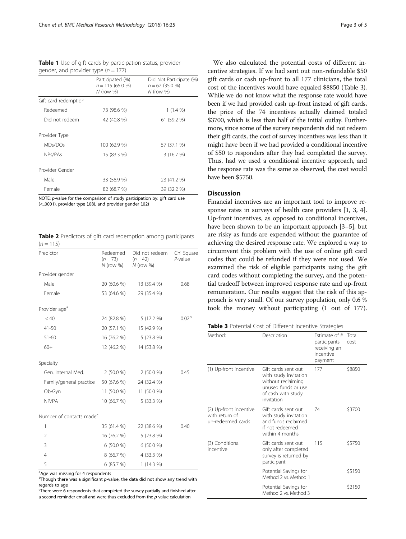| $y$ chach, and provider type $y_1 = 1777$ |                                                    |                                                           |  |  |  |
|-------------------------------------------|----------------------------------------------------|-----------------------------------------------------------|--|--|--|
|                                           | Participated (%)<br>$n = 115(65.0 %)$<br>N (row %) | Did Not Participate (%)<br>$n = 62$ (35.0 %)<br>N (row %) |  |  |  |
| Gift card redemption                      |                                                    |                                                           |  |  |  |
| Redeemed                                  | 73 (98.6 %)                                        | $1(1.4\%)$                                                |  |  |  |
| Did not redeem                            | 42 (40.8 %)                                        | 61 (59.2 %)                                               |  |  |  |
| Provider Type                             |                                                    |                                                           |  |  |  |
| MDs/DOs                                   | 100 (62.9 %)                                       | 57 (37.1 %)                                               |  |  |  |
| NPs/PAs                                   | 15 (83.3 %)                                        | 3(16.7%)                                                  |  |  |  |
| Provider Gender                           |                                                    |                                                           |  |  |  |
| Male                                      | 33 (58.9 %)                                        | 23 (41.2 %)                                               |  |  |  |
| Female                                    | 82 (68.7 %)                                        | 39 (32.2 %)                                               |  |  |  |

<span id="page-2-0"></span>Table 1 Use of gift cards by participation status, provider gender, and provider type  $(n = 177)$ 

NOTE: p-value for the comparison of study participation by: gift card use (<,.0001), provider type (.08), and provider gender (.02)

Table 2 Predictors of gift card redemption among participants  $(n = 115)$ 

| Predictor                            | Redeemed<br>$(n = 73)$<br>$N$ (row $%$ ) | Did not redeem<br>$(n = 42)$<br>$N$ (row $%$ ) | Chi Square<br>P-value |
|--------------------------------------|------------------------------------------|------------------------------------------------|-----------------------|
| Provider gender                      |                                          |                                                |                       |
| Male                                 | 20 (60.6 %)                              | 13 (39.4 %)                                    | 0.68                  |
| Female                               | 53 (64.6 %)                              | 29 (35.4 %)                                    |                       |
| Provider age <sup>a</sup>            |                                          |                                                |                       |
| < 40                                 | 24 (82.8 %)                              | 5 (17.2 %)                                     | 0.02 <sup>b</sup>     |
| $41 - 50$                            | 20 (57.1 %)                              | 15 (42.9 %)                                    |                       |
| $51 - 60$                            | 16 (76.2 %)                              | 5 (23.8 %)                                     |                       |
| $60+$                                | 12 (46.2 %)                              | 14 (53.8 %)                                    |                       |
| Specialty                            |                                          |                                                |                       |
| Gen. Internal Med.                   | 2(50.0 %)                                | 2(50.0 %)                                      | 0.45                  |
| Family/general practice              | 50 (67.6 %)                              | 24 (32.4 %)                                    |                       |
| Ob-Gyn                               | 11 (50.0 %)                              | 11 (50.0 %)                                    |                       |
| NP/PA                                | 10 (66.7 %)                              | 5 (33.3 %)                                     |                       |
| Number of contacts made <sup>c</sup> |                                          |                                                |                       |
| 1                                    | 35 (61.4 %)                              | 22 (38.6 %)                                    | 0.40                  |
| $\overline{2}$                       | 16 (76.2 %)                              | 5(23.8%)                                       |                       |
| 3                                    | $6(50.0\%)$                              | 6 (50.0 %)                                     |                       |
| $\overline{4}$                       | 8 (66.7 %)                               | 4 (33.3 %)                                     |                       |
| 5                                    | 6 (85.7 %)                               | $1(14.3\%)$                                    |                       |

Age was missing for 4 re

 $^{\text{b}}$ Though there was a significant p-value, the data did not show any trend with regards to age

<sup>c</sup>There were 6 respondents that completed the survey partially and finished after a second reminder email and were thus excluded from the p-value calculation

We also calculated the potential costs of different incentive strategies. If we had sent out non-refundable \$50 gift cards or cash up-front to all 177 clinicians, the total cost of the incentives would have equaled \$8850 (Table 3). While we do not know what the response rate would have been if we had provided cash up-front instead of gift cards, the price of the 74 incentives actually claimed totaled \$3700, which is less than half of the initial outlay. Furthermore, since some of the survey respondents did not redeem their gift cards, the cost of survey incentives was less than it might have been if we had provided a conditional incentive of \$50 to responders after they had completed the survey. Thus, had we used a conditional incentive approach, and the response rate was the same as observed, the cost would have been \$5750.

## **Discussion**

Financial incentives are an important tool to improve response rates in surveys of health care providers [\[1](#page-3-0), [3, 4](#page-3-0)]. Up-front incentives, as opposed to conditional incentives, have been shown to be an important approach [\[3](#page-3-0)–[5\]](#page-3-0), but are risky as funds are expended without the guarantee of achieving the desired response rate. We explored a way to circumvent this problem with the use of online gift card codes that could be refunded if they were not used. We examined the risk of eligible participants using the gift card codes without completing the survey, and the potential tradeoff between improved response rate and up-front remuneration. Our results suggest that the risk of this approach is very small. Of our survey population, only 0.6 % took the money without participating (1 out of 177).

Table 3 Potential Cost of Different Incentive Strategies

| Method:                                                       | Description                                                                                                                   | Estimate of # Total<br>participants<br>receiving an<br>incentive<br>payment | cost   |
|---------------------------------------------------------------|-------------------------------------------------------------------------------------------------------------------------------|-----------------------------------------------------------------------------|--------|
| (1) Up-front incentive                                        | Gift cards sent out<br>with study invitation<br>without reclaiming<br>unused funds or use<br>of cash with study<br>invitation | 177                                                                         | \$8850 |
| (2) Up-front incentive<br>with return of<br>un-redeemed cards | Gift cards sent out<br>with study invitation<br>and funds reclaimed<br>if not redeemed<br>within 4 months                     | 74                                                                          | \$3700 |
| (3) Conditional<br>incentive                                  | Gift cards sent out<br>only after completed<br>survey is returned by<br>participant                                           | 115                                                                         | \$5750 |
|                                                               | Potential Savings for<br>Method 2 vs. Method 1                                                                                |                                                                             | \$5150 |
|                                                               | Potential Savings for<br>Method 2 vs. Method 3                                                                                |                                                                             | \$2150 |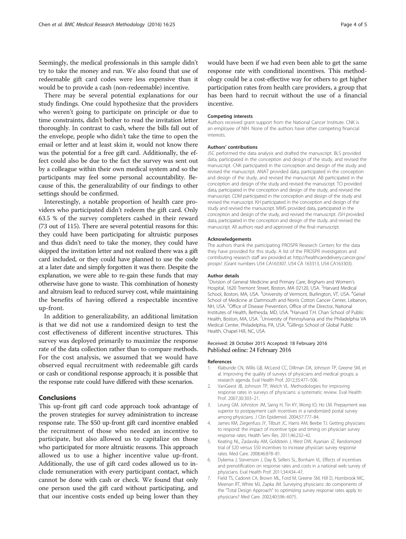<span id="page-3-0"></span>Seemingly, the medical professionals in this sample didn't try to take the money and run. We also found that use of redeemable gift card codes were less expensive than it would be to provide a cash (non-redeemable) incentive.

There may be several potential explanations for our study findings. One could hypothesize that the providers who weren't going to participate on principle or due to time constraints, didn't bother to read the invitation letter thoroughly. In contrast to cash, where the bills fall out of the envelope, people who didn't take the time to open the email or letter and at least skim it, would not know there was the potential for a free gift card. Additionally, the effect could also be due to the fact the survey was sent out by a colleague within their own medical system and so the participants may feel some personal accountability. Because of this, the generalizability of our findings to other settings should be confirmed.

Interestingly, a notable proportion of health care providers who participated didn't redeem the gift card. Only 63.5 % of the survey completers cashed in their reward (73 out of 115). There are several potential reasons for this: they could have been participating for altruistic purposes and thus didn't need to take the money, they could have skipped the invitation letter and not realized there was a gift card included, or they could have planned to use the code at a later date and simply forgotten it was there. Despite the explanation, we were able to re-gain these funds that may otherwise have gone to waste. This combination of honesty and altruism lead to reduced survey cost, while maintaining the benefits of having offered a respectable incentive up-front.

In addition to generalizability, an additional limitation is that we did not use a randomized design to test the cost effectiveness of different incentive structures. This survey was deployed primarily to maximize the response rate of the data collection rather than to compare methods. For the cost analysis, we assumed that we would have observed equal recruitment with redeemable gift cards or cash or conditional response approach; it is possible that the response rate could have differed with these scenarios.

## Conclusions

This up-front gift card code approach took advantage of the proven strategies for survey administration to increase response rate. The \$50 up-front gift card incentive enabled the recruitment of those who needed an incentive to participate, but also allowed us to capitalize on those who participated for more altruistic reasons. This approach allowed us to use a higher incentive value up-front. Additionally, the use of gift card codes allowed us to include remuneration with every participant contact, which cannot be done with cash or check. We found that only one person used the gift card without participating, and that our incentive costs ended up being lower than they would have been if we had even been able to get the same response rate with conditional incentives. This methodology could be a cost-effective way for others to get higher participation rates from health care providers, a group that has been hard to recruit without the use of a financial incentive.

#### Competing interests

Authors received grant support from the National Cancer Institute. CNK is an employee of NIH. None of the authors have other competing financial interests.

#### Authors' contributions

JSC performed the data analysis and drafted the manuscript. BLS provided data, participated in the conception and design of the study, and revised the manuscript. CNK participated in the conception and design of the study and revised the manuscript. ANAT provided data, participated in the conception and design of the study, and revised the manuscript. AB participated in the conception and design of the study and revised the manuscript. TO provided data, participated in the conception and design of the study, and revised the manuscript. CDM participated in the conception and design of the study and revised the manuscript. KH participated in the conception and design of the study and revised the manuscript. MMS provided data, participated in the conception and design of the study, and revised the manuscript. JSH provided data, participated in the conception and design of the study, and revised the manuscript. All authors read and approved of the final manuscript.

#### Acknowledgements

The authors thank the participating PROSPR Research Centers for the data they have provided for this study. A list of the PROSPR investigators and contributing research staff are provided at: [http://healthcaredelivery.cancer.gov/](http://healthcaredelivery.cancer.gov/prospr/) [prospr/.](http://healthcaredelivery.cancer.gov/prospr/) (Grant numbers U54 CA163307, U54 CA 163313, U54 CA163303).

#### Author details

<sup>1</sup> Division of General Medicine and Primary Care, Brigham and Women's Hospital, 1620 Tremont Street, Boston, MA 02120, USA. <sup>2</sup>Harvard Medical School, Boston, MA, USA. <sup>3</sup>University of Vermont, Burlington, VT, USA. <sup>4</sup>Geisel School of Medicine at Dartmouth and Norris Cotton Cancer Center, Lebanon, NH, USA.<sup>5</sup> Office of Disease Prevention, Office of the Director, National Institutes of Health, Bethesda, MD, USA. <sup>6</sup>Harvard T.H. Chan School of Public Health, Boston, MA, USA. <sup>7</sup>University of Pennsylvania and the Philadelphia VA Medical Center, Philadelphia, PA, USA. <sup>8</sup>Gillings School of Global Public Health, Chapel Hill, NC, USA.

#### Received: 28 October 2015 Accepted: 18 February 2016 Published online: 24 February 2016

#### References

- 1. Klabunde CN, Willis GB, McLeod CC, Dillman DA, Johnson TP, Greene SM, et al. Improving the quality of surveys of physicians and medical groups: a research agenda. Eval Health Prof. 2012;35:477–506.
- 2. VanGeest JB, Johnson TP, Welch VL. Methodologies for improving response rates in surveys of physicians: a systematic review. Eval Health Prof. 2007;30:303–21.
- 3. Leung GM, Johnston JM, Saing H, Tin KY, Wong IO, Ho LM. Prepayment was superior to postpayment cash incentives in a randomized postal survey among physicians. J Clin Epidemiol. 2004;57:777–84.
- 4. James KM, Ziegenfuss JY, Tilburt JC, Harris AM, Beebe TJ. Getting physicians to respond: the impact of incentive type and timing on physician survey response rates. Health Serv Res. 2011;46:232–42.
- 5. Keating NL, Zaslavsky AM, Goldstein J, West DW, Ayanian JZ. Randomized trial of \$20 versus \$50 incentives to increase physician survey response rates. Med Care. 2008;46:878–81.
- 6. Dykema J, Stevenson J, Day B, Sellers SL, Bonham VL. Effects of incentives and prenotification on response rates and costs in a national web survey of physicians. Eval Health Prof. 2011;34:434–47.
- 7. Field TS, Cadoret CA, Brown ML, Ford M, Greene SM, Hill D, Hornbrook MC, Meenan RT, White MJ, Zapka JM. Surveying physicians: do components of the "Total Design Approach" to optimizing survey response rates apply to physicians? Med Care. 2002;40:596–6075.